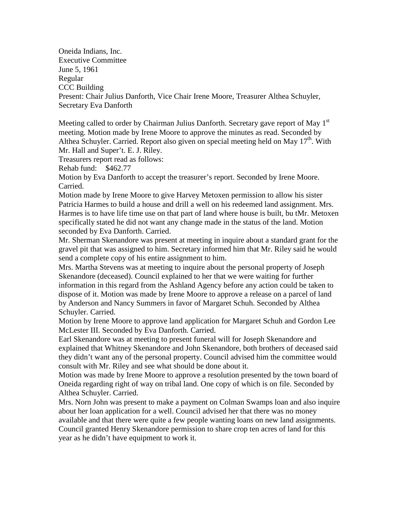Oneida Indians, Inc. Executive Committee June 5, 1961 Regular CCC Building Present: Chair Julius Danforth, Vice Chair Irene Moore, Treasurer Althea Schuyler, Secretary Eva Danforth

Meeting called to order by Chairman Julius Danforth. Secretary gave report of May  $1<sup>st</sup>$ meeting. Motion made by Irene Moore to approve the minutes as read. Seconded by Althea Schuyler. Carried. Report also given on special meeting held on May  $17<sup>th</sup>$ . With Mr. Hall and Super't. E. J. Riley.

Treasurers report read as follows:

Rehab fund: \$462.77

Motion by Eva Danforth to accept the treasurer's report. Seconded by Irene Moore. Carried.

Motion made by Irene Moore to give Harvey Metoxen permission to allow his sister Patricia Harmes to build a house and drill a well on his redeemed land assignment. Mrs. Harmes is to have life time use on that part of land where house is built, bu tMr. Metoxen specifically stated he did not want any change made in the status of the land. Motion seconded by Eva Danforth. Carried.

Mr. Sherman Skenandore was present at meeting in inquire about a standard grant for the gravel pit that was assigned to him. Secretary informed him that Mr. Riley said he would send a complete copy of his entire assignment to him.

Mrs. Martha Stevens was at meeting to inquire about the personal property of Joseph Skenandore (deceased). Council explained to her that we were waiting for further information in this regard from the Ashland Agency before any action could be taken to dispose of it. Motion was made by Irene Moore to approve a release on a parcel of land by Anderson and Nancy Summers in favor of Margaret Schuh. Seconded by Althea Schuyler. Carried.

Motion by Irene Moore to approve land application for Margaret Schuh and Gordon Lee McLester III. Seconded by Eva Danforth. Carried.

Earl Skenandore was at meeting to present funeral will for Joseph Skenandore and explained that Whitney Skenandore and John Skenandore, both brothers of deceased said they didn't want any of the personal property. Council advised him the committee would consult with Mr. Riley and see what should be done about it.

Motion was made by Irene Moore to approve a resolution presented by the town board of Oneida regarding right of way on tribal land. One copy of which is on file. Seconded by Althea Schuyler. Carried.

Mrs. Norn John was present to make a payment on Colman Swamps loan and also inquire about her loan application for a well. Council advised her that there was no money available and that there were quite a few people wanting loans on new land assignments. Council granted Henry Skenandore permission to share crop ten acres of land for this year as he didn't have equipment to work it.